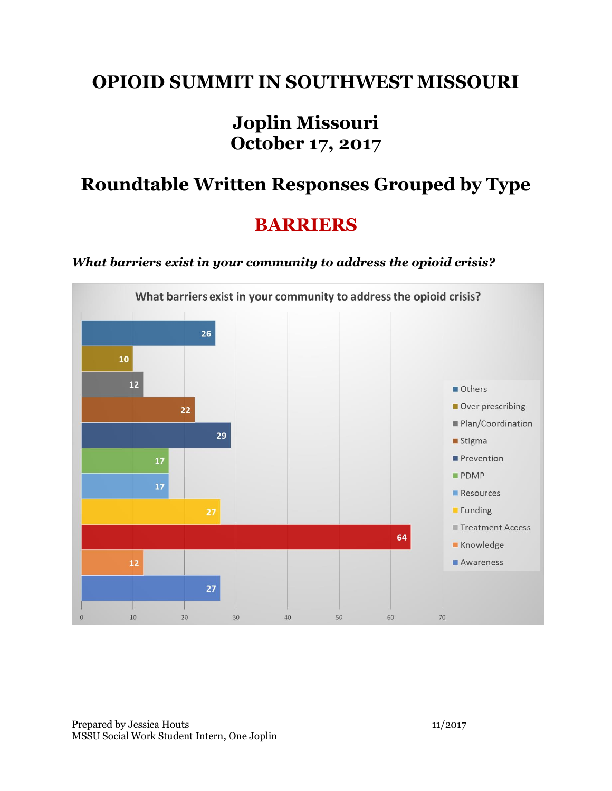### **OPIOID SUMMIT IN SOUTHWEST MISSOURI**

## **Joplin Missouri October 17, 2017**

# **Roundtable Written Responses Grouped by Type**

## **BARRIERS**

#### *What barriers exist in your community to address the opioid crisis?*

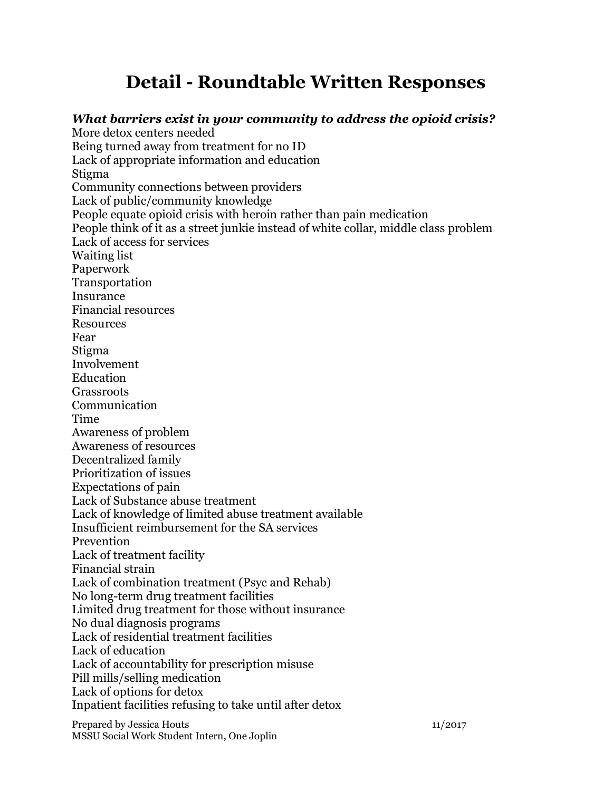# **Detail - Roundtable Written Responses**

Prepared by Jessica Houts 11/2017 *What barriers exist in your community to address the opioid crisis?* More detox centers needed Being turned away from treatment for no ID Lack of appropriate information and education Stigma Community connections between providers Lack of public/community knowledge People equate opioid crisis with heroin rather than pain medication People think of it as a street junkie instead of white collar, middle class problem Lack of access for services Waiting list Paperwork Transportation Insurance Financial resources Resources Fear Stigma Involvement Education Grassroots Communication Time Awareness of problem Awareness of resources Decentralized family Prioritization of issues Expectations of pain Lack of Substance abuse treatment Lack of knowledge of limited abuse treatment available Insufficient reimbursement for the SA services Prevention Lack of treatment facility Financial strain Lack of combination treatment (Psyc and Rehab) No long-term drug treatment facilities Limited drug treatment for those without insurance No dual diagnosis programs Lack of residential treatment facilities Lack of education Lack of accountability for prescription misuse Pill mills/selling medication Lack of options for detox Inpatient facilities refusing to take until after detox

MSSU Social Work Student Intern, One Joplin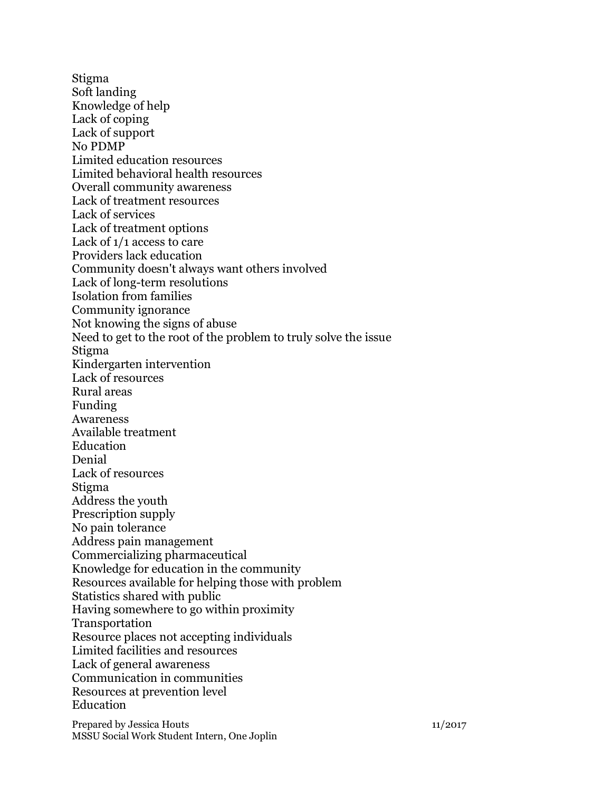Stigma Soft landing Knowledge of help Lack of coping Lack of support No PDMP Limited education resources Limited behavioral health resources Overall community awareness Lack of treatment resources Lack of services Lack of treatment options Lack of 1/1 access to care Providers lack education Community doesn't always want others involved Lack of long-term resolutions Isolation from families Community ignorance Not knowing the signs of abuse Need to get to the root of the problem to truly solve the issue Stigma Kindergarten intervention Lack of resources Rural areas Funding Awareness Available treatment Education Denial Lack of resources Stigma Address the youth Prescription supply No pain tolerance Address pain management Commercializing pharmaceutical Knowledge for education in the community Resources available for helping those with problem Statistics shared with public Having somewhere to go within proximity Transportation Resource places not accepting individuals Limited facilities and resources Lack of general awareness Communication in communities Resources at prevention level Education

Prepared by Jessica Houts 11/2017 MSSU Social Work Student Intern, One Joplin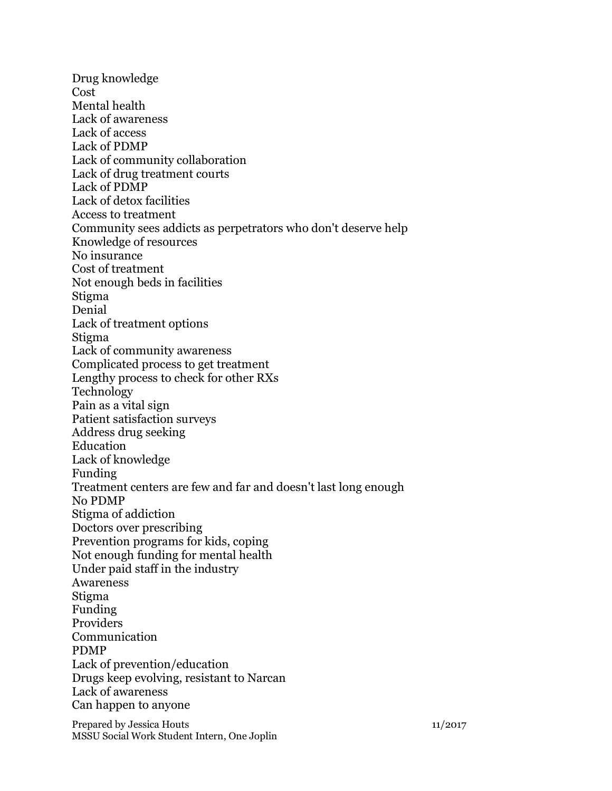Drug knowledge Cost Mental health Lack of awareness Lack of access Lack of PDMP Lack of community collaboration Lack of drug treatment courts Lack of PDMP Lack of detox facilities Access to treatment Community sees addicts as perpetrators who don't deserve help Knowledge of resources No insurance Cost of treatment Not enough beds in facilities Stigma Denial Lack of treatment options Stigma Lack of community awareness Complicated process to get treatment Lengthy process to check for other RXs Technology Pain as a vital sign Patient satisfaction surveys Address drug seeking Education Lack of knowledge Funding Treatment centers are few and far and doesn't last long enough No PDMP Stigma of addiction Doctors over prescribing Prevention programs for kids, coping Not enough funding for mental health Under paid staff in the industry Awareness Stigma Funding Providers Communication PDMP Lack of prevention/education Drugs keep evolving, resistant to Narcan Lack of awareness Can happen to anyone

Prepared by Jessica Houts 11/2017 MSSU Social Work Student Intern, One Joplin